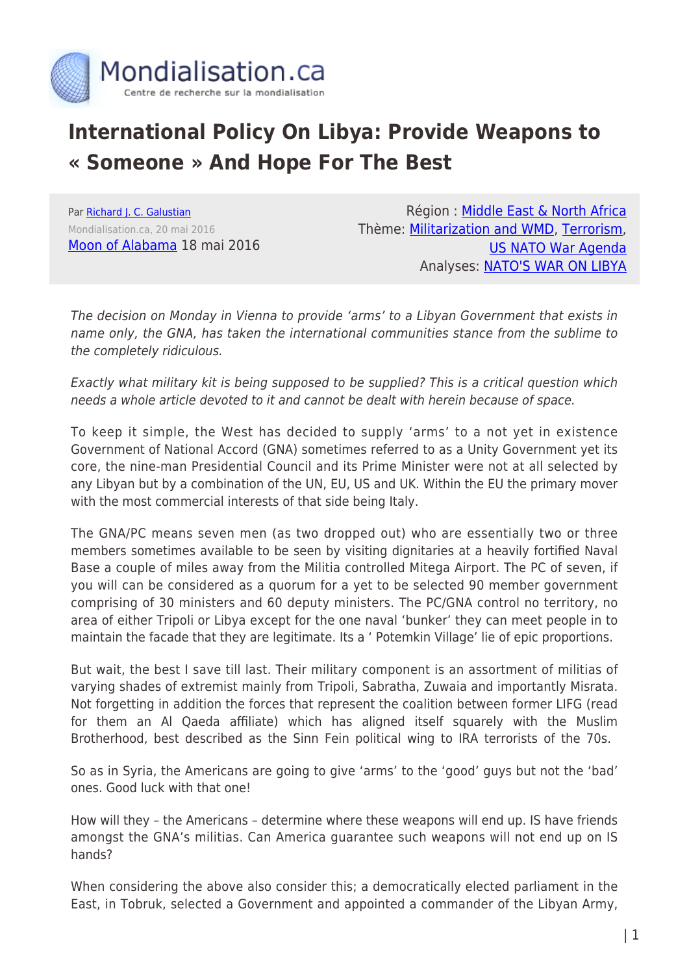

## **International Policy On Libya: Provide Weapons to « Someone » And Hope For The Best**

Par [Richard J. C. Galustian](https://www.mondialisation.ca/author/richard-j-c-galustian) Mondialisation.ca, 20 mai 2016 [Moon of Alabama](http://www.moonofalabama.org/2016/05/international-policy-on-libya-arm-someone-and-hope-for-the-best.html#more) 18 mai 2016

Région : [Middle East & North Africa](https://www.mondialisation.ca/region/middle-east) Thème: [Militarization and WMD,](https://www.mondialisation.ca/theme/militarization-and-wmd) [Terrorism](https://www.mondialisation.ca/theme/9-11-war-on-terrorism), [US NATO War Agenda](https://www.mondialisation.ca/theme/us-nato-war-agenda) Analyses: [NATO'S WAR ON LIBYA](https://www.mondialisation.ca/indepthreport/nato-s-war-on-libya)

The decision on Monday in Vienna to provide 'arms' to a Libyan Government that exists in name only, the GNA, has taken the international communities stance from the sublime to the completely ridiculous.

Exactly what military kit is being supposed to be supplied? This is a critical question which needs a whole article devoted to it and cannot be dealt with herein because of space.

To keep it simple, the West has decided to supply 'arms' to a not yet in existence Government of National Accord (GNA) sometimes referred to as a Unity Government yet its core, the nine-man Presidential Council and its Prime Minister were not at all selected by any Libyan but by a combination of the UN, EU, US and UK. Within the EU the primary mover with the most commercial interests of that side being Italy.

The GNA/PC means seven men (as two dropped out) who are essentially two or three members sometimes available to be seen by visiting dignitaries at a heavily fortified Naval Base a couple of miles away from the Militia controlled Mitega Airport. The PC of seven, if you will can be considered as a quorum for a yet to be selected 90 member government comprising of 30 ministers and 60 deputy ministers. The PC/GNA control no territory, no area of either Tripoli or Libya except for the one naval 'bunker' they can meet people in to maintain the facade that they are legitimate. Its a ' Potemkin Village' lie of epic proportions.

But wait, the best I save till last. Their military component is an assortment of militias of varying shades of extremist mainly from Tripoli, Sabratha, Zuwaia and importantly Misrata. Not forgetting in addition the forces that represent the coalition between former LIFG (read for them an Al Qaeda affiliate) which has aligned itself squarely with the Muslim Brotherhood, best described as the Sinn Fein political wing to IRA terrorists of the 70s.

So as in Syria, the Americans are going to give 'arms' to the 'good' guys but not the 'bad' ones. Good luck with that one!

How will they – the Americans – determine where these weapons will end up. IS have friends amongst the GNA's militias. Can America guarantee such weapons will not end up on IS hands?

When considering the above also consider this; a democratically elected parliament in the East, in Tobruk, selected a Government and appointed a commander of the Libyan Army,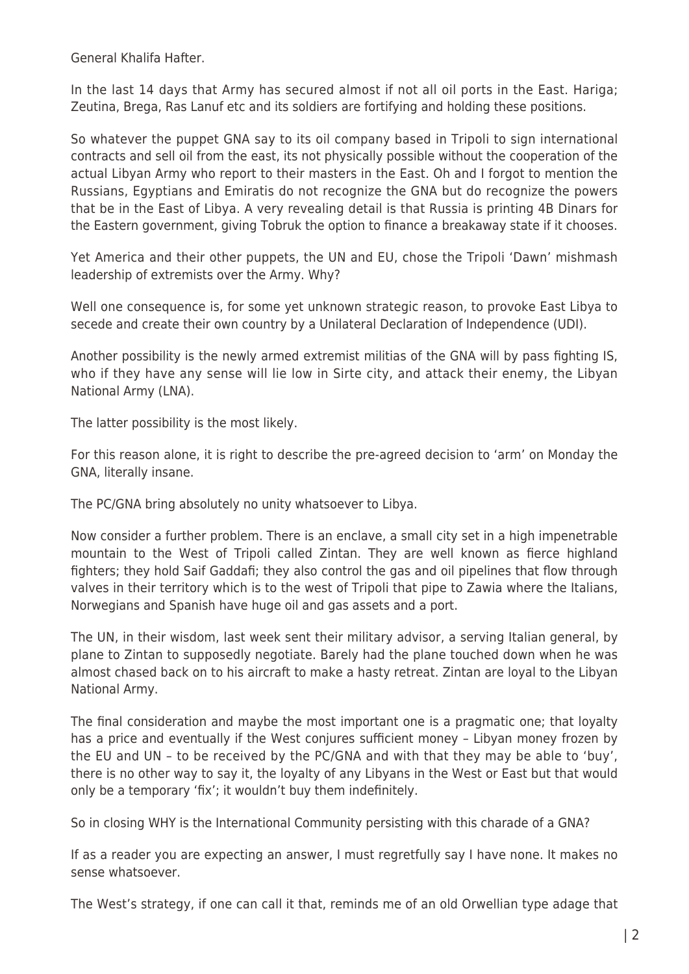General Khalifa Hafter.

In the last 14 days that Army has secured almost if not all oil ports in the East. Hariga; Zeutina, Brega, Ras Lanuf etc and its soldiers are fortifying and holding these positions.

So whatever the puppet GNA say to its oil company based in Tripoli to sign international contracts and sell oil from the east, its not physically possible without the cooperation of the actual Libyan Army who report to their masters in the East. Oh and I forgot to mention the Russians, Egyptians and Emiratis do not recognize the GNA but do recognize the powers that be in the East of Libya. A very revealing detail is that Russia is printing 4B Dinars for the Eastern government, giving Tobruk the option to finance a breakaway state if it chooses.

Yet America and their other puppets, the UN and EU, chose the Tripoli 'Dawn' mishmash leadership of extremists over the Army. Why?

Well one consequence is, for some yet unknown strategic reason, to provoke East Libya to secede and create their own country by a Unilateral Declaration of Independence (UDI).

Another possibility is the newly armed extremist militias of the GNA will by pass fighting IS, who if they have any sense will lie low in Sirte city, and attack their enemy, the Libyan National Army (LNA).

The latter possibility is the most likely.

For this reason alone, it is right to describe the pre-agreed decision to 'arm' on Monday the GNA, literally insane.

The PC/GNA bring absolutely no unity whatsoever to Libya.

Now consider a further problem. There is an enclave, a small city set in a high impenetrable mountain to the West of Tripoli called Zintan. They are well known as fierce highland fighters; they hold Saif Gaddafi; they also control the gas and oil pipelines that flow through valves in their territory which is to the west of Tripoli that pipe to Zawia where the Italians, Norwegians and Spanish have huge oil and gas assets and a port.

The UN, in their wisdom, last week sent their military advisor, a serving Italian general, by plane to Zintan to supposedly negotiate. Barely had the plane touched down when he was almost chased back on to his aircraft to make a hasty retreat. Zintan are loyal to the Libyan National Army.

The final consideration and maybe the most important one is a pragmatic one; that loyalty has a price and eventually if the West conjures sufficient money – Libyan money frozen by the EU and UN – to be received by the PC/GNA and with that they may be able to 'buy', there is no other way to say it, the loyalty of any Libyans in the West or East but that would only be a temporary 'fix'; it wouldn't buy them indefinitely.

So in closing WHY is the International Community persisting with this charade of a GNA?

If as a reader you are expecting an answer, I must regretfully say I have none. It makes no sense whatsoever.

The West's strategy, if one can call it that, reminds me of an old Orwellian type adage that